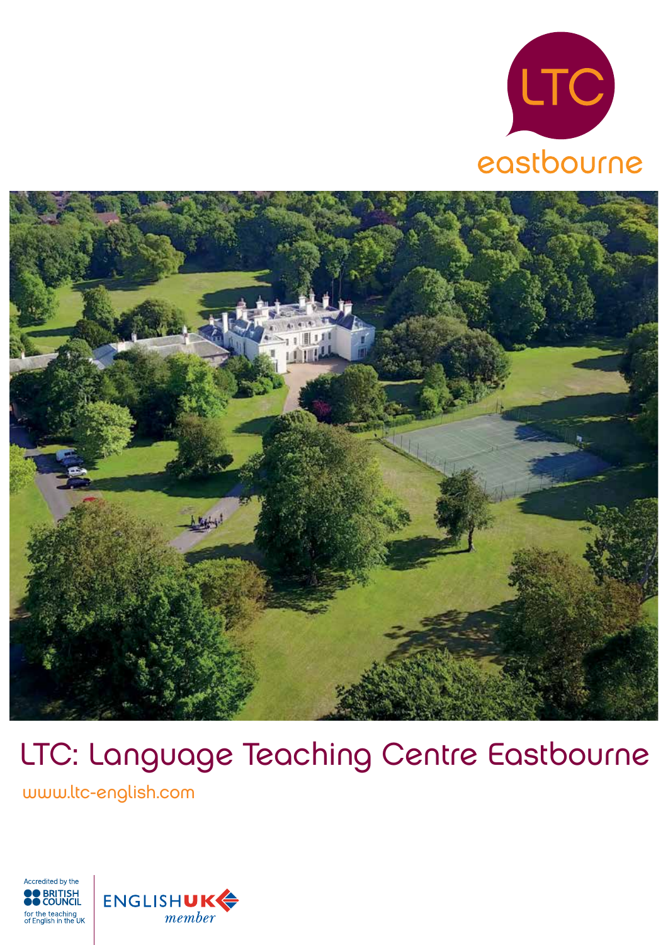



# LTC: Language Teaching Centre Eastbourne

www.ltc-english.com



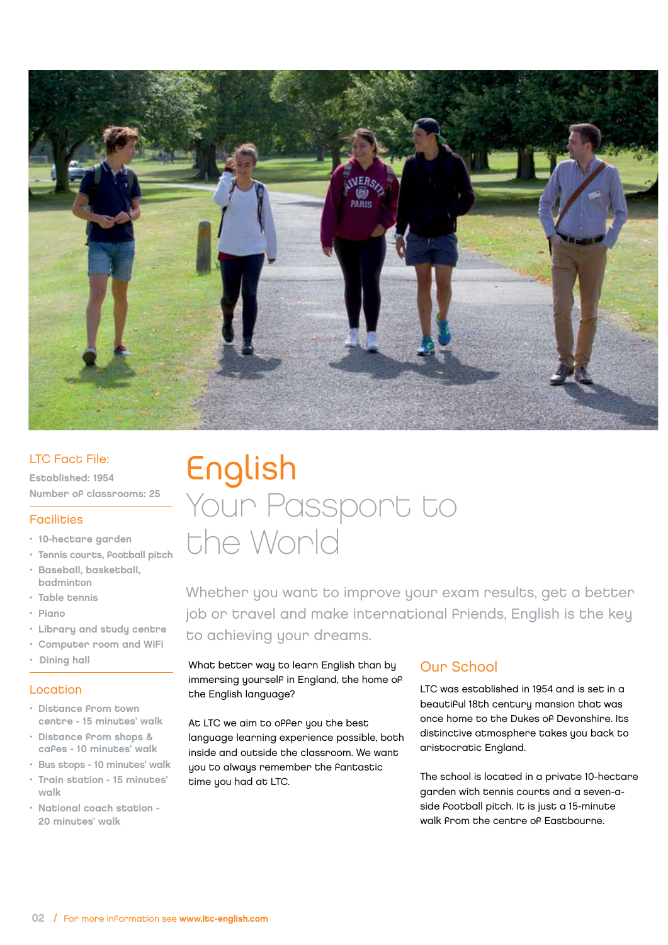

#### LTC Fact File:

Established: 1954 Number of classrooms: 25

#### **Facilities**

- 10-hectare garden
- Tennis courts, football pitch
- Baseball, basketball, badminton
- Table tennis
- Piano
- Library and study centre
- Computer room and WiFi
- Dining hall

#### Location

- Distance from town centre - 15 minutes' walk
- Distance from shops & cafes - 10 minutes' walk
- Bus stops 10 minutes' walk
- Train station 15 minutes' walk
- National coach station 20 minutes' walk

## English Your Passport to the World

Whether you want to improve your exam results, get a better job or travel and make international friends, English is the key to achieving your dreams.

What better way to learn English than by immersing yourself in England, the home of the English language?

At LTC we aim to offer you the best language learning experience possible, both inside and outside the classroom. We want you to always remember the fantastic time you had at LTC.

## Our School

LTC was established in 1954 and is set in a beautiful 18th century mansion that was once home to the Dukes of Devonshire. Its distinctive atmosphere takes you back to aristocratic England.

The school is located in a private 10-hectare garden with tennis courts and a seven-aside football pitch. It is just a 15-minute walk from the centre of Eastbourne.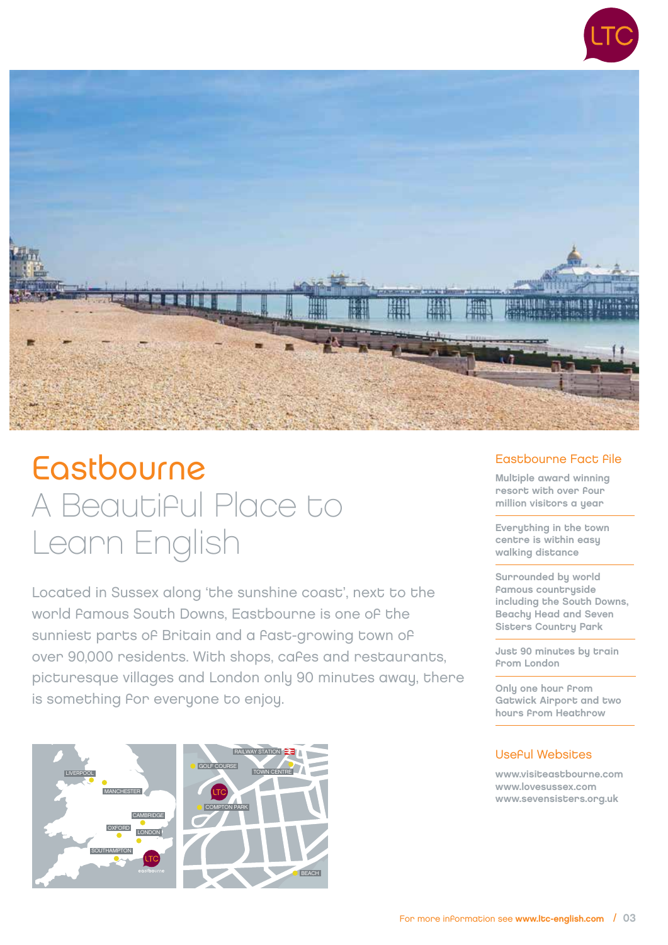



## Eastbourne A Beautiful Place to Learn English

Located in Sussex along 'the sunshine coast', next to the world famous South Downs, Eastbourne is one of the sunniest parts of Britain and a fast-growing town of over 90,000 residents. With shops, cafes and restaurants, picturesque villages and London only 90 minutes away, there is something for everyone to enjoy.





#### Eastbourne Fact file

Multiple award winning resort with over four million visitors a year

Everything in the town centre is within easy walking distance

Surrounded by world famous countryside including the South Downs, Beachy Head and Seven Sisters Country Park

Just 90 minutes by train from London

Only one hour from Gatwick Airport and two hours from Heathrow

### Useful Websites

www.visiteastbourne.com www.lovesussex.com www.sevensisters.org.uk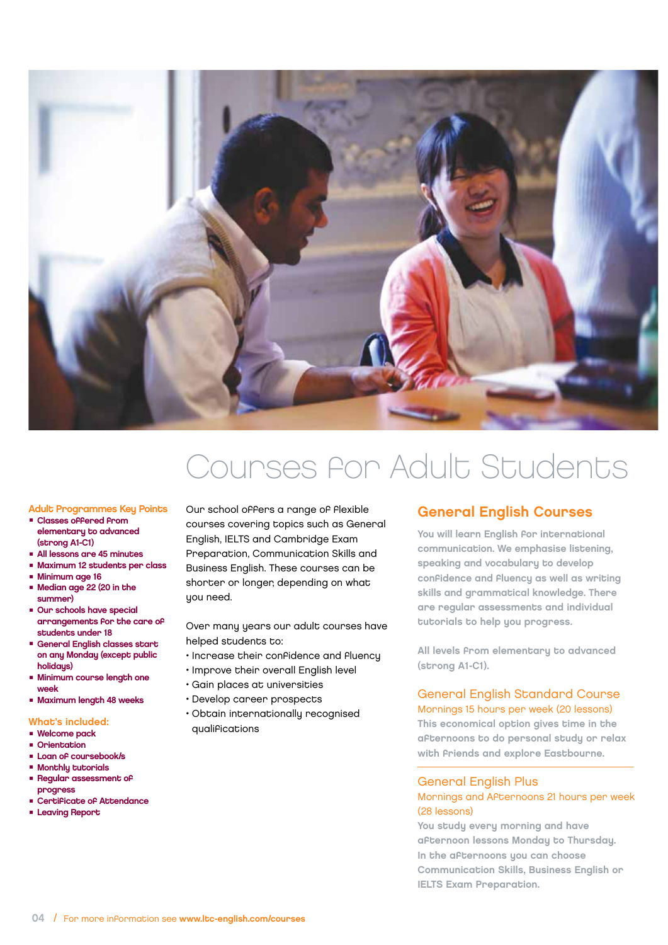

## Courses for Adult Students

#### Adult Programmes Key Points

- Classes offered from elementary to advanced (strong A1-C1)
- All lessons are 45 minutes
- Maximum 12 students per class
- Minimum age 16
- Median age 22 (20 in the summer)
- Our schools have special arrangements for the care of students under 18
- General English classes start on any Monday (except public holidaus)
- Minimum course length one week
- Maximum length 48 weeks

#### What's included:

- Welcome pack<br>■ Orientation
- Orientation<br>■ Loan of cou
- Ortencación<br>■ Loan of coursebook/s<br>■ Monthlu tutorials
- Monthly tutorials
- Regular assessment of progress
- Certificate of Attendance
- Leaving Report

Our school offers a range of flexible courses covering topics such as General English, IELTS and Cambridge Exam Preparation, Communication Skills and Business English. These courses can be shorter or longer, depending on what you need.

Over many years our adult courses have helped students to:

- Increase their confidence and fluency
- Improve their overall English level
- Gain places at universities
- Develop career prospects
- Obtain internationally recognised qualifications

### General English Courses

You will learn English for international communication. We emphasise listening, speaking and vocabulary to develop confidence and fluency as well as writing skills and grammatical knowledge. There are regular assessments and individual tutorials to help you progress.

All levels from elementary to advanced (strong A1-C1).

#### General English Standard Course Mornings 15 hours per week (20 lessons)

This economical option gives time in the afternoons to do personal study or relax with friends and explore Eastbourne.

#### General English Plus

#### Mornings and Afternoons 21 hours per week (28 lessons)

You study every morning and have afternoon lessons Monday to Thursday. In the afternoons you can choose Communication Skills, Business English or IELTS Exam Preparation.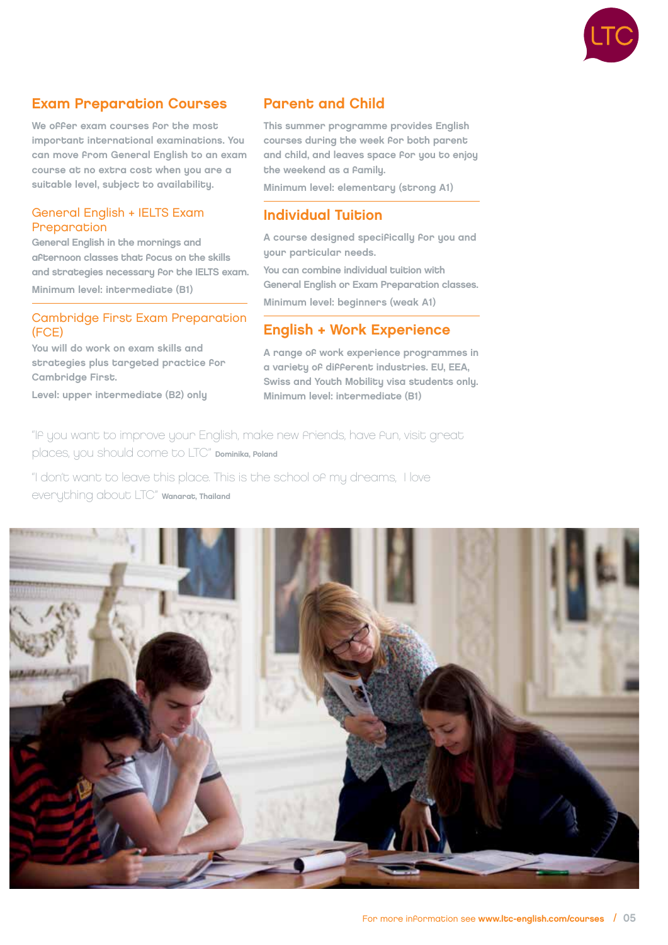

### Exam Preparation Courses

We offer exam courses for the most important international examinations. You can move from General English to an exam course at no extra cost when you are a suitable level, subject to availability.

#### General English + IELTS Exam **Preparation**

General English in the mornings and afternoon classes that focus on the skills and strategies necessary for the IELTS exam. Minimum level: intermediate (B1)

#### Cambridge First Exam Preparation (FCE)

You will do work on exam skills and strategies plus targeted practice for Cambridge First.

Level: upper intermediate (B2) only

### Parent and Child

This summer programme provides English courses during the week for both parent and child, and leaves space for you to enjoy the weekend as a family.

Minimum level: elementary (strong A1)

### Individual Tuition

A course designed specifically for you and your particular needs.

You can combine individual tuition with General English or Exam Preparation classes. Minimum level: beginners (weak A1)

### English + Work Experience

A range of work experience programmes in a variety of different industries. EU, EEA, Swiss and Youth Mobility visa students only. Minimum level: intermediate (B1)

"If you want to improve your English, make new friends, have fun, visit great places, you should come to LTC" Dominika, Poland

"I don't want to leave this place. This is the school of my dreams, I love everything about LTC" Wanarat, Thailand

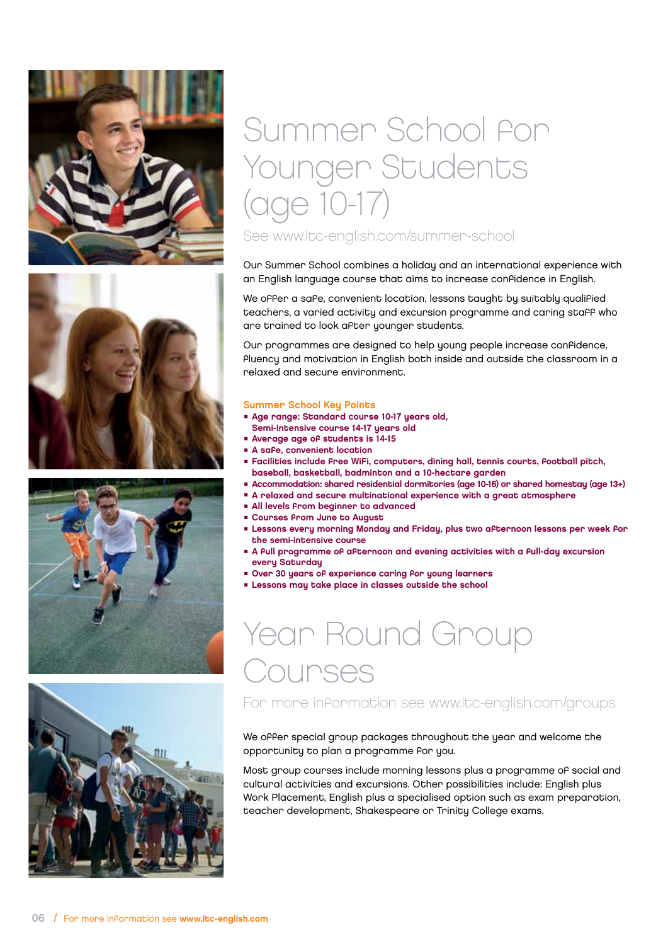







## Summer School for Younger Students (age 10-17) See www.ltc-english.com/summer-school

Our Summer School combines a holiday and an international experience with an English language course that aims to increase confidence in English.

We offer a safe, convenient location, lessons taught by suitably qualified teachers, a varied activity and excursion programme and caring staff who are trained to look after younger students.

Our programmes are designed to help young people increase confidence, fluency and motivation in English both inside and outside the classroom in a relaxed and secure environment.

#### Summer School Key Points

- Age range: Standard course 10-17 years old, Semi-Intensive course 14-17 years old
- Average age of students is 14-15
- A safe, convenient location
- Facilities include free WiFi, computers, dining hall, tennis courts, football pitch, baseball, basketball, badminton and a 10-hectare garden
- Accommodation: shared residential dormitories (age 10-16) or shared homestay (age 13+)
- A relaxed and secure multinational experience with a great atmosphere
- All levels From beginner to advanced
- Courses From June to August
- Lessons every morning Monday and Friday, plus two afternoon lessons per week for the semi-intensive course
- A full programme of afternoon and evening activities with a full-day excursion every Saturday
- Over 30 years of experience caring for young learners
- Lessons may take place in classes outside the school

## Year Round Group Courses

For more information see www.ltc-english.com/groups

We offer special group packages throughout the year and welcome the opportunity to plan a programme for you.

Most group courses include morning lessons plus a programme of social and cultural activities and excursions. Other possibilities include: English plus Work Placement, English plus a specialised option such as exam preparation, teacher development, Shakespeare or Trinity College exams.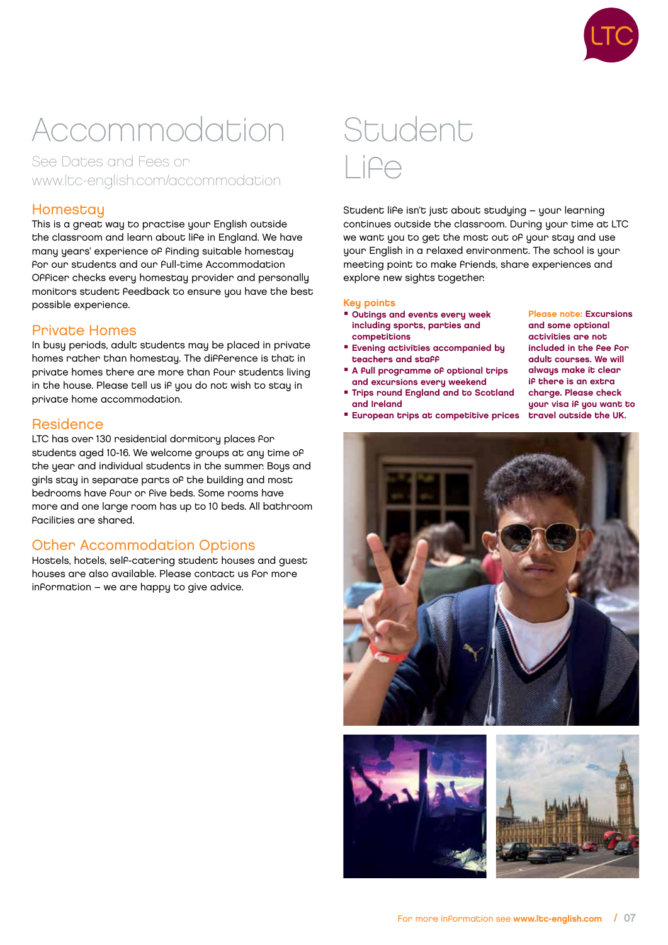

## Accommodation

See Dates and Fees or www.ltc-english.com/accommodation

### **Homestay**

This is a great way to practise your English outside the classroom and learn about life in England. We have many years' experience of finding suitable homestay for our students and our full-time Accommodation Officer checks every homestay provider and personally monitors student feedback to ensure you have the best possible experience.

#### Private Homes

In busy periods, adult students may be placed in private homes rather than homestay. The difference is that in private homes there are more than four students living in the house. Please tell us if you do not wish to stay in private home accommodation.

#### **Residence**

LTC has over 130 residential dormitory places for students aged 10-16. We welcome groups at any time of the year and individual students in the summer. Bous and girls stay in separate parts of the building and most bedrooms have four or five beds. Some rooms have more and one large room has up to 10 beds. All bathroom facilities are shared.

### Other Accommodation Options

Hostels, hotels, self-catering student houses and guest houses are also available. Please contact us for more information – we are happy to give advice.

## Student Life

Student life isn't just about studying – your learning continues outside the classroom. During your time at LTC we want you to get the most out of your stay and use your English in a relaxed environment. The school is your meeting point to make friends, share experiences and explore new sights together.

#### **Key points**

- Outings and events every week including sports, parties and competitions
- Evening activities accompanied bu teachers and staff
- A full programme of optional trips and excursions every weekend
- Trips round England and to Scotland and Ireland
- and some optional activities are not included in the fee for adult courses. We will always make it clear if there is an extra charge. Please check uour visa if you want to travel outside the UK.

Please note: Excursions

■ European trips at competitive prices